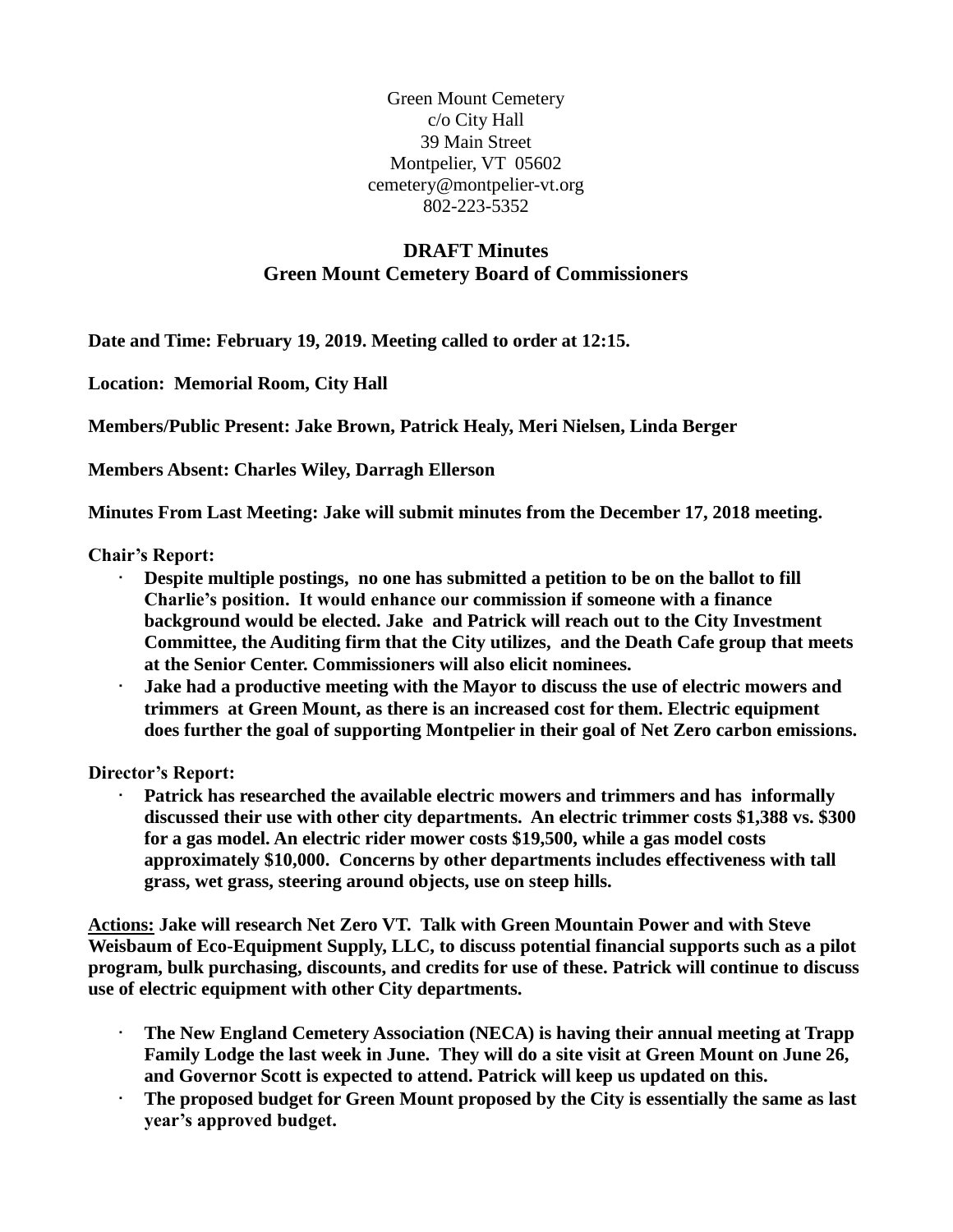Green Mount Cemetery c/o City Hall 39 Main Street Montpelier, VT 05602 [cemetery@montpelier-vt.org](mailto:cemetery@montpelier-vt.org) 802-223-5352

## **DRAFT Minutes Green Mount Cemetery Board of Commissioners**

**Date and Time: February 19, 2019. Meeting called to order at 12:15.**

**Location: Memorial Room, City Hall**

**Members/Public Present: Jake Brown, Patrick Healy, Meri Nielsen, Linda Berger**

**Members Absent: Charles Wiley, Darragh Ellerson**

**Minutes From Last Meeting: Jake will submit minutes from the December 17, 2018 meeting.**

**Chair's Report:**

- **Despite multiple postings, no one has submitted a petition to be on the ballot to fill Charlie's position. It would enhance our commission if someone with a finance background would be elected. Jake and Patrick will reach out to the City Investment Committee, the Auditing firm that the City utilizes, and the Death Cafe group that meets at the Senior Center. Commissioners will also elicit nominees.**
- **Jake had a productive meeting with the Mayor to discuss the use of electric mowers and trimmers at Green Mount, as there is an increased cost for them. Electric equipment does further the goal of supporting Montpelier in their goal of Net Zero carbon emissions.**

**Director's Report:**

• **Patrick has researched the available electric mowers and trimmers and has informally discussed their use with other city departments. An electric trimmer costs \$1,388 vs. \$300 for a gas model. An electric rider mower costs \$19,500, while a gas model costs approximately \$10,000. Concerns by other departments includes effectiveness with tall grass, wet grass, steering around objects, use on steep hills.**

**Actions: Jake will research Net Zero VT. Talk with Green Mountain Power and with Steve Weisbaum of Eco-Equipment Supply, LLC, to discuss potential financial supports such as a pilot program, bulk purchasing, discounts, and credits for use of these. Patrick will continue to discuss use of electric equipment with other City departments.**

- **The New England Cemetery Association (NECA) is having their annual meeting at Trapp Family Lodge the last week in June. They will do a site visit at Green Mount on June 26, and Governor Scott is expected to attend. Patrick will keep us updated on this.**
- **The proposed budget for Green Mount proposed by the City is essentially the same as last year's approved budget.**